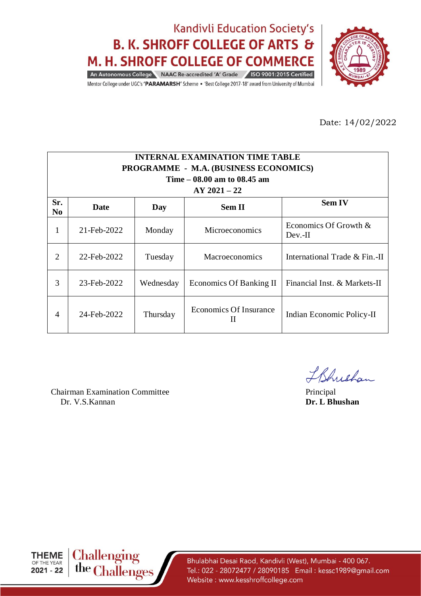

Mentor College under UGC's 'PARAMARSH' Scheme . 'Best College 2017-18' award from University of Mumbai

Date: 14/02/2022

| <b>INTERNAL EXAMINATION TIME TABLE</b><br><b>PROGRAMME - M.A. (BUSINESS ECONOMICS)</b><br>Time $-08.00$ am to $08.45$ am<br>$AY 2021 - 22$ |             |           |                                    |                                 |  |  |
|--------------------------------------------------------------------------------------------------------------------------------------------|-------------|-----------|------------------------------------|---------------------------------|--|--|
| Sr.<br>N <sub>0</sub>                                                                                                                      | Date        | Day       | <b>Sem II</b>                      | <b>Sem IV</b>                   |  |  |
| 1                                                                                                                                          | 21-Feb-2022 | Monday    | <b>Microeconomics</b>              | Economics Of Growth &<br>Dev.II |  |  |
| 2                                                                                                                                          | 22-Feb-2022 | Tuesday   | Macroeconomics                     | International Trade & Fin.-II   |  |  |
| 3                                                                                                                                          | 23-Feb-2022 | Wednesday | <b>Economics Of Banking II</b>     | Financial Inst. & Markets-II    |  |  |
| $\overline{4}$                                                                                                                             | 24-Feb-2022 | Thursday  | <b>Economics Of Insurance</b><br>П | Indian Economic Policy-II       |  |  |

Chairman Examination Committee Principal Dr. V.S.Kannan **Dr. L Bhushan**

IBhushan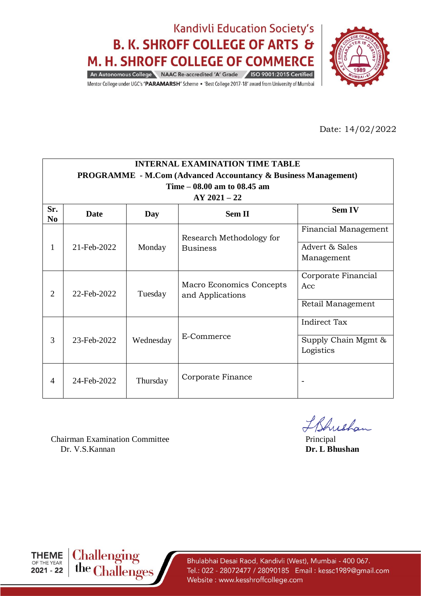

Mentor College under UGC's 'PARAMARSH' Scheme . 'Best College 2017-18' award from University of Mumbai

Date: 14/02/2022

|                       | <b>INTERNAL EXAMINATION TIME TABLE</b>                                |                   |                                |                          |  |  |  |  |
|-----------------------|-----------------------------------------------------------------------|-------------------|--------------------------------|--------------------------|--|--|--|--|
|                       | <b>PROGRAMME</b> - M.Com (Advanced Accountancy & Business Management) |                   |                                |                          |  |  |  |  |
|                       |                                                                       |                   | Time $-08.00$ am to $08.45$ am |                          |  |  |  |  |
|                       |                                                                       |                   | $AY 2021 - 22$                 |                          |  |  |  |  |
| Sr.<br>N <sub>0</sub> | <b>Date</b>                                                           | Day               | <b>Sem II</b>                  | <b>Sem IV</b>            |  |  |  |  |
|                       |                                                                       |                   | Research Methodology for       | Financial Management     |  |  |  |  |
| 1                     | 21-Feb-2022                                                           | Monday            | <b>Business</b>                | Advert & Sales           |  |  |  |  |
|                       |                                                                       |                   |                                | Management               |  |  |  |  |
|                       |                                                                       | Tuesday           | Macro Economics Concepts       | Corporate Financial      |  |  |  |  |
| $\overline{2}$        | 22-Feb-2022<br>and Applications                                       |                   |                                | Acc                      |  |  |  |  |
|                       |                                                                       | Retail Management |                                |                          |  |  |  |  |
|                       |                                                                       |                   |                                | Indirect Tax             |  |  |  |  |
| 3                     | 23-Feb-2022                                                           | Wednesday         | E-Commerce                     | Supply Chain Mgmt &      |  |  |  |  |
|                       |                                                                       |                   |                                | Logistics                |  |  |  |  |
| $\overline{A}$        | 24-Feb-2022                                                           | Thursday          | Corporate Finance              | $\overline{\phantom{a}}$ |  |  |  |  |

Chairman Examination Committee Principal Dr. V.S.Kannan **Dr. L Bhushan**

IBhushan



THEME Challenging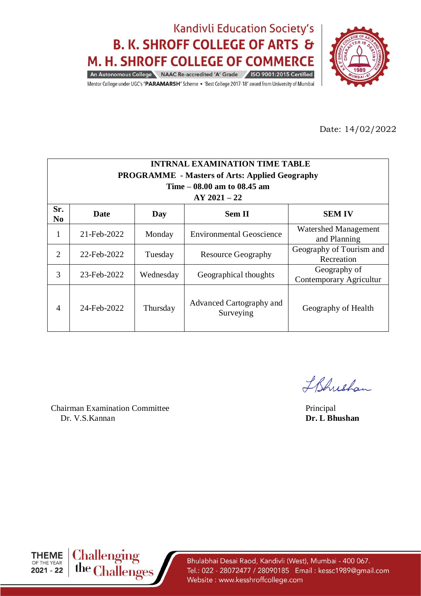

Mentor College under UGC's 'PARAMARSH' Scheme . 'Best College 2017-18' award from University of Mumbai

Date: 14/02/2022

| <b>INTRNAL EXAMINATION TIME TABLE</b><br><b>PROGRAMME</b> - Masters of Arts: Applied Geography<br>Time $-08.00$ am to 08.45 am<br>$AY 2021 - 22$ |                                                                                         |           |                                 |                                             |  |  |  |  |  |
|--------------------------------------------------------------------------------------------------------------------------------------------------|-----------------------------------------------------------------------------------------|-----------|---------------------------------|---------------------------------------------|--|--|--|--|--|
| Sr.<br>N <sub>0</sub>                                                                                                                            | <b>Sem II</b><br><b>SEM IV</b><br>Date<br>Day                                           |           |                                 |                                             |  |  |  |  |  |
| 1                                                                                                                                                | 21-Feb-2022                                                                             | Monday    | <b>Environmental Geoscience</b> | <b>Watershed Management</b><br>and Planning |  |  |  |  |  |
| $\overline{2}$                                                                                                                                   | 22-Feb-2022                                                                             | Tuesday   | <b>Resource Geography</b>       | Geography of Tourism and<br>Recreation      |  |  |  |  |  |
| 3                                                                                                                                                | 23-Feb-2022                                                                             | Wednesday | Geographical thoughts           | Geography of<br>Contemporary Agricultur     |  |  |  |  |  |
| 4                                                                                                                                                | Advanced Cartography and<br>24-Feb-2022<br>Thursday<br>Geography of Health<br>Surveying |           |                                 |                                             |  |  |  |  |  |

Chairman Examination Committee Principal Dr. V.S.Kannan **Dr. L Bhushan**

IBhushan



**Challenging<br>the Challenges**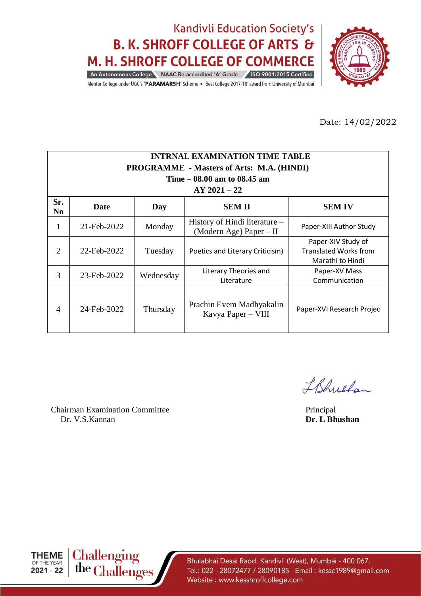

Mentor College under UGC's 'PARAMARSH' Scheme . 'Best College 2017-18' award from University of Mumbai

Date: 14/02/2022

| <b>INTRNAL EXAMINATION TIME TABLE</b>                                  |                                                                                                        |           |                                                            |                                                                        |  |  |  |  |  |
|------------------------------------------------------------------------|--------------------------------------------------------------------------------------------------------|-----------|------------------------------------------------------------|------------------------------------------------------------------------|--|--|--|--|--|
|                                                                        | <b>PROGRAMME - Masters of Arts: M.A. (HINDI)</b>                                                       |           |                                                            |                                                                        |  |  |  |  |  |
|                                                                        |                                                                                                        |           | Time $-08.00$ am to 08.45 am                               |                                                                        |  |  |  |  |  |
|                                                                        |                                                                                                        |           | $AY 2021 - 22$                                             |                                                                        |  |  |  |  |  |
| Sr.<br><b>SEM II</b><br><b>SEM IV</b><br>Date<br>Day<br>N <sub>0</sub> |                                                                                                        |           |                                                            |                                                                        |  |  |  |  |  |
| 1                                                                      | 21-Feb-2022                                                                                            | Monday    | History of Hindi literature –<br>(Modern Age) Paper $-$ II | Paper-XIII Author Study                                                |  |  |  |  |  |
| $\overline{2}$                                                         | 22-Feb-2022                                                                                            | Tuesday   | Poetics and Literary Criticism)                            | Paper-XIV Study of<br><b>Translated Works from</b><br>Marathi to Hindi |  |  |  |  |  |
| 3                                                                      | 23-Feb-2022                                                                                            | Wednesday | Literary Theories and<br>Literature                        | Paper-XV Mass<br>Communication                                         |  |  |  |  |  |
| $\overline{4}$                                                         | Prachin Evem Madhyakalin<br>24-Feb-2022<br>Thursday<br>Paper-XVI Research Projec<br>Kavya Paper – VIII |           |                                                            |                                                                        |  |  |  |  |  |

Chairman Examination Committee Principal Dr. V.S.Kannan **Dr. L Bhushan**

IBhushan



**Challenging**<br>the **Challenges**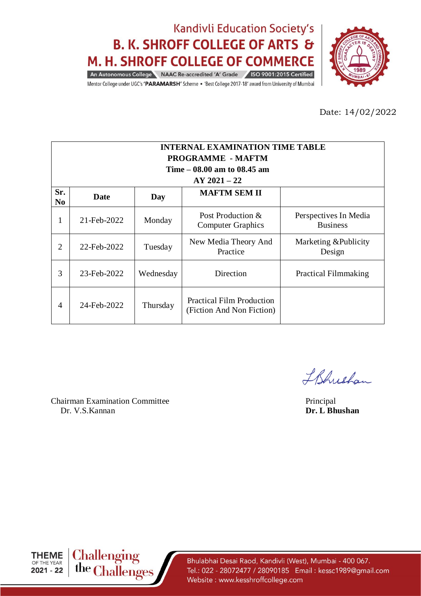

Mentor College under UGC's 'PARAMARSH' Scheme . 'Best College 2017-18' award from University of Mumbai

Date: 14/02/2022

| <b>INTERNAL EXAMINATION TIME TABLE</b> |                          |           |                                                               |                                          |  |  |  |  |
|----------------------------------------|--------------------------|-----------|---------------------------------------------------------------|------------------------------------------|--|--|--|--|
|                                        | <b>PROGRAMME - MAFTM</b> |           |                                                               |                                          |  |  |  |  |
|                                        |                          |           | Time $-08.00$ am to $08.45$ am                                |                                          |  |  |  |  |
|                                        |                          |           | $AY 2021 - 22$                                                |                                          |  |  |  |  |
| Sr.<br>N <sub>0</sub>                  | <b>Date</b>              | Day       | <b>MAFTM SEM II</b>                                           |                                          |  |  |  |  |
| 1                                      | 21-Feb-2022              | Monday    | Post Production $\&$<br><b>Computer Graphics</b>              | Perspectives In Media<br><b>Business</b> |  |  |  |  |
| 2                                      | 22-Feb-2022              | Tuesday   | New Media Theory And<br>Practice                              | Marketing & Publicity<br>Design          |  |  |  |  |
| 3                                      | 23-Feb-2022              | Wednesday | Direction                                                     | <b>Practical Filmmaking</b>              |  |  |  |  |
| 4                                      | 24-Feb-2022              | Thursday  | <b>Practical Film Production</b><br>(Fiction And Non Fiction) |                                          |  |  |  |  |

Chairman Examination Committee Principal Principal Principal Principal Dr. V.S. Kannan Dr. V.S.Kannan

IBhrishan



**Challenging<br>the Challenges**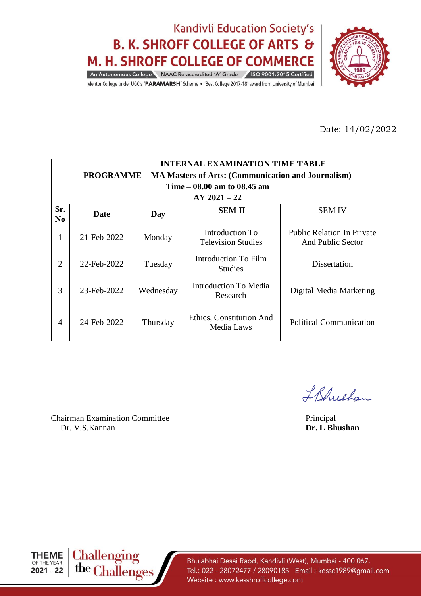

Mentor College under UGC's 'PARAMARSH' Scheme . 'Best College 2017-18' award from University of Mumbai

Date: 14/02/2022

|                       | <b>INTERNAL EXAMINATION TIME TABLE</b>                                |           |                                              |                                                        |  |  |  |
|-----------------------|-----------------------------------------------------------------------|-----------|----------------------------------------------|--------------------------------------------------------|--|--|--|
|                       | <b>PROGRAMME</b> - MA Masters of Arts: (Communication and Journalism) |           |                                              |                                                        |  |  |  |
|                       |                                                                       |           | Time – 08.00 am to 08.45 am                  |                                                        |  |  |  |
|                       |                                                                       |           | $AY 2021 - 22$                               |                                                        |  |  |  |
| Sr.<br>N <sub>0</sub> | Date                                                                  | Day       | <b>SEM II</b>                                | <b>SEM IV</b>                                          |  |  |  |
| 1                     | 21-Feb-2022                                                           | Monday    | Introduction To<br><b>Television Studies</b> | <b>Public Relation In Private</b><br>And Public Sector |  |  |  |
| $\overline{2}$        | 22-Feb-2022                                                           | Tuesday   | Introduction To Film<br><b>Studies</b>       | Dissertation                                           |  |  |  |
| 3                     | 23-Feb-2022                                                           | Wednesday | Introduction To Media<br>Research            | Digital Media Marketing                                |  |  |  |
| 4                     | 24-Feb-2022                                                           | Thursday  | Ethics, Constitution And<br>Media Laws       | <b>Political Communication</b>                         |  |  |  |

Chairman Examination Committee Principal Dr. V.S.Kannan **Dr. L Bhushan**

IBhrishan



**Challenging<br>the Challenges**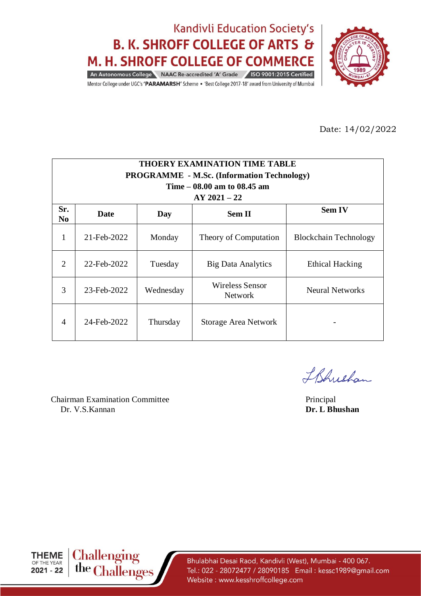

Mentor College under UGC's 'PARAMARSH' Scheme . 'Best College 2017-18' award from University of Mumbai

Date: 14/02/2022

| <b>THOERY EXAMINATION TIME TABLE</b> |                                                   |           |                                   |                              |  |  |  |  |
|--------------------------------------|---------------------------------------------------|-----------|-----------------------------------|------------------------------|--|--|--|--|
|                                      | <b>PROGRAMME - M.Sc. (Information Technology)</b> |           |                                   |                              |  |  |  |  |
|                                      |                                                   |           | Time $-08.00$ am to 08.45 am      |                              |  |  |  |  |
|                                      |                                                   |           | $AY 2021 - 22$                    |                              |  |  |  |  |
| Sr.<br>N <sub>0</sub>                | <b>Sem IV</b><br><b>Sem II</b><br>Date<br>Day     |           |                                   |                              |  |  |  |  |
| 1                                    | 21-Feb-2022                                       | Monday    | Theory of Computation             | <b>Blockchain Technology</b> |  |  |  |  |
| $\mathcal{D}_{\mathcal{L}}$          | 22-Feb-2022                                       | Tuesday   | <b>Big Data Analytics</b>         | <b>Ethical Hacking</b>       |  |  |  |  |
| 3                                    | 23-Feb-2022                                       | Wednesday | Wireless Sensor<br><b>Network</b> | <b>Neural Networks</b>       |  |  |  |  |
| $\boldsymbol{\Lambda}$               | 24-Feb-2022                                       | Thursday  | Storage Area Network              |                              |  |  |  |  |

Chairman Examination Committee Principal Dr. V.S.Kannan **Dr. L Bhushan**

IBhushan

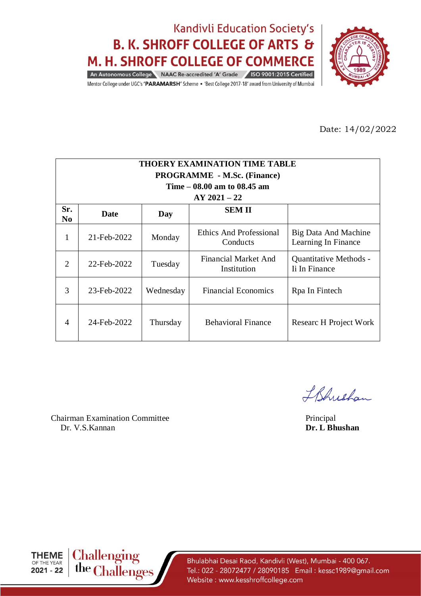

Mentor College under UGC's 'PARAMARSH' Scheme . 'Best College 2017-18' award from University of Mumbai

Date: 14/02/2022

| <b>THOERY EXAMINATION TIME TABLE</b><br><b>PROGRAMME - M.Sc. (Finance)</b><br>Time $-08.00$ am to $08.45$ am<br>$AY 2021 - 22$ |                             |           |                                            |                                             |  |  |  |
|--------------------------------------------------------------------------------------------------------------------------------|-----------------------------|-----------|--------------------------------------------|---------------------------------------------|--|--|--|
| Sr.<br>No                                                                                                                      | <b>SEMII</b><br>Date<br>Day |           |                                            |                                             |  |  |  |
| 1                                                                                                                              | 21-Feb-2022                 | Monday    | Ethics And Professional<br>Conducts        | Big Data And Machine<br>Learning In Finance |  |  |  |
| $\mathcal{D}_{\mathcal{L}}$                                                                                                    | 22-Feb-2022                 | Tuesday   | <b>Financial Market And</b><br>Institution | Quantitative Methods -<br>Ii In Finance     |  |  |  |
| 3                                                                                                                              | 23-Feb-2022                 | Wednesday | <b>Financial Economics</b>                 | Rpa In Fintech                              |  |  |  |
| 4                                                                                                                              | 24-Feb-2022                 | Thursday  | <b>Behavioral Finance</b>                  | Researc H Project Work                      |  |  |  |

Chairman Examination Committee Principal Dr. V.S.Kannan **Dr. L Bhushan**

IBhrishan



**Challenging<br>the Challenges**